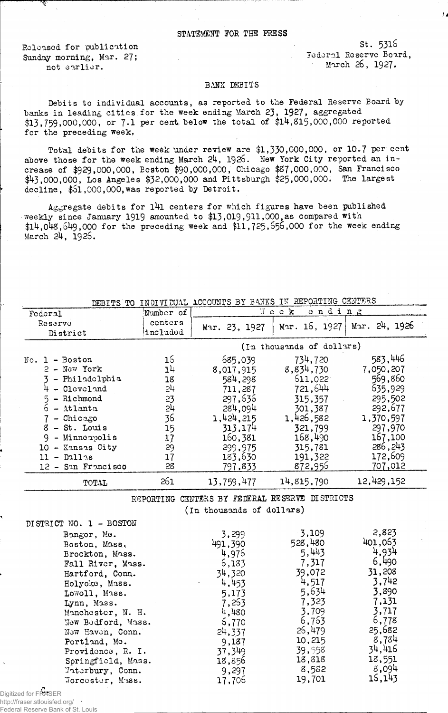## STATEMENT FOR THE PRESS

Released for publication Sunday morning, Mar. 27; not earlier.

st. 5316 Federal Reserve Board, March 26, 1927,

*id*

## BANK DEBITS

Debits to individual accounts, as reported to the Federal Reserve Board by banks in leading cities for the week ending March 23, 1927. aggregated \$13,759,000,000, or 7.1 per cent below the total of \$14,815,000,000 reported for the preceding week.

Total debits for the week under review are \$1,330,000,000, or 10.7 per cent above those for the week ending March 24, 1925. New York City reported an increase of \$929,000,000, Boston'\$90,000,000, Chicago \$87,000,000, San Francisco \$43,000,000, Los Angeles \$32,000,000 and Pittsburgh \$25,000,000. The largest decline, \$51,000,000, was reported by Detroit.

Aggregate debits for 141 centers for which figures have been published weekly since January 1919 amounted to \$13,019,911,000, as compared with  $$14,048,649,000$  for the preceding week and  $$11,725,656,000$  for the week ending March 24, 192S.

| DEBITS TO INDIVIDUAL ACCOUNTS BI BANKS IN ESTORITING CONTINUES. |                |                                                |               |               |  |
|-----------------------------------------------------------------|----------------|------------------------------------------------|---------------|---------------|--|
| Federal                                                         | Number of      | Week<br>ending                                 |               |               |  |
| Reservo                                                         | centers        | Mar. 23, 1927                                  | Mar. 16, 1927 | Mar. 24, 1926 |  |
| District                                                        | included       |                                                |               |               |  |
|                                                                 |                | (In thousands of dollars)                      |               |               |  |
| No. 1 - Boston                                                  | 16             | 685,039                                        | 734,720       | 583,446       |  |
| 2 - New York                                                    | 1 <sup>1</sup> | 8,017,915                                      | 8,834,730     | 7,050,207     |  |
| 3 - Philadelphia                                                | 18             | 584,298                                        | 511,022       | 569,860       |  |
| $4 - C1$ cvel and                                               | 2 <sup>1</sup> | 711,287                                        | 721,644       | 635,929       |  |
| - Richmond                                                      | 23             | 297,636                                        | 315,357       | 295,502       |  |
| $\overline{6}$<br>- Atlanta                                     | بآح            | 284,094                                        | 301,387       | 292,677       |  |
| $-$ Chicago                                                     | 36             | 1,424,215                                      | 1,426,582     | 1,370,597     |  |
| 8 - St. Louis                                                   | 15             | 313,174                                        | 321,799       | 297,970       |  |
| 9 - Minneapolis                                                 | 17             | 160,381                                        | 168,490       | 167,100       |  |
| 10 - Kansas City                                                | 29             | 299,975                                        | 315,781       | 286, 243      |  |
| $11 - D11$ as                                                   | 17             | 183,630                                        | 191,322       | 172,609       |  |
| 12 - San Francisco                                              | 28             | 797,833                                        | 872,956       | 707,012       |  |
| TOTAL                                                           | 261            | 13,759,477                                     | 14,815,790    | 12,429,152    |  |
|                                                                 |                | REPORTING CENTERS BY FEDERAL RESERVE DISTRICTS |               |               |  |
|                                                                 |                | (In thousands of dollars)                      |               |               |  |
| DISTRICT NO. 1 - BOSTON                                         |                |                                                |               |               |  |
| Bangor, Me.                                                     |                | 3,299                                          | 3,109         | 2,823         |  |
| Boston, Mass.                                                   |                | 491,390                                        | 528,480       | 401,063       |  |
| Brockton, Mass.                                                 |                | 4,976                                          | 5,443         | 4,934         |  |
| Fall River, Mass.                                               |                | 6,133                                          | 7,317         | 6,490         |  |
| Hartford, Conn.                                                 |                | 34,320                                         | 39,072        | 31,208        |  |
| Holyoke, Mass.                                                  |                | 4,453                                          | 4,517         | 3,742         |  |
| Lowoll, Mass.                                                   |                | 5,173                                          | 5,634         | 3,890         |  |
| Lynn, Mass.                                                     |                | 7,253                                          | 7,323         | 7,131         |  |
| Manchester, N. H.                                               |                | 4,480                                          | 3,709         | 3,717         |  |
| New Bedford, Mass.                                              |                | 5,770                                          | 6,753         | 6,778         |  |
| New Haven, Conn.                                                |                | 24,337                                         | 26,479        | 25,682        |  |
| Portland, Mo.                                                   |                | 9,187                                          | 10,215        | 8,784         |  |
| Providence, R. I.                                               |                | 37,349                                         | 39,558        | 34,416        |  |
| Springfield, Mass.                                              |                | 18,856                                         | 18,318        | 18,551        |  |
| Waterbury, Conn.                                                |                | 9,297                                          | 8,582         | 8,094         |  |
| Worcester, Mass.                                                |                | 17,706                                         | 19,701        | 16,143        |  |
|                                                                 |                |                                                |               |               |  |

DEBITS TO INDIVIDUAL ACCOUNTS BY BANKS IN REPORTING CE

C. Digitized for FRASER http://fraser.stlouisfed.org/ Federal Reserve Bank of St. Louis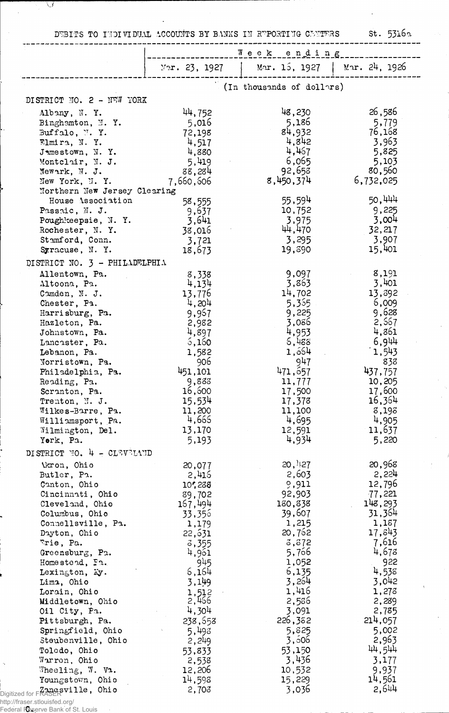DEBITS TO INDIVIDUAL ACCOUNTS BY BANKS IN REPORTING CENTERS St. 5316a

 $\ddot{\phantom{a}}$ 

|                                     |                   | Week ending               |                  |  |  |
|-------------------------------------|-------------------|---------------------------|------------------|--|--|
|                                     | Var. 23, 1927     | Mar. 15, 1927             | Mar. 24, 1926    |  |  |
|                                     |                   | (In thousands of dollars) |                  |  |  |
| DISTRICT NO. 2 - NEW YORK           |                   |                           |                  |  |  |
| Albany, N.Y.                        | 44,752            | 48,230                    | 26,586           |  |  |
| Binghamton, N.Y.                    | 5,016             | 5,186                     | 5,779            |  |  |
| Buffalo, N.Y.                       | 72,198            | 84,932                    | 76,168           |  |  |
| Elmira, N.Y.                        | 4,517             | 4,842                     | 3,963            |  |  |
| Jamestown, N.Y.                     | 4,880             | 4,467<br>6,065            | 5,825            |  |  |
| Montclair, N. J.<br>Newark, N. J.   | 5,419<br>88,284   | 92,658                    | 5,103<br>80,560  |  |  |
| New York, N.Y.                      | 7,660,606         | 8,450,374                 | 6,732,025        |  |  |
| Northern New Jersey Clearing        |                   |                           |                  |  |  |
| House Association                   | 58,555            | 55,594                    | 50,444           |  |  |
| Passaic, N. J.                      | 9,637             | 10,752                    | 9,225            |  |  |
| Poughkeepsie, N.Y.                  | 3,641             | 3,975                     | 3,004            |  |  |
| Rochester, N.Y.                     | 38,016            | 44,470                    | 32,217           |  |  |
| Stamford, Conn.                     | 3,721             | 3,295                     | 3,907            |  |  |
| Syracuse, N.Y.                      | 18,673            | 19,890                    | 15,401           |  |  |
| DISTRICT NO. 3 - PHILADELPHIA       |                   |                           |                  |  |  |
| Allentown, Pa.                      | 8,338             | 9,097                     | 8,191            |  |  |
| Altoona, Pa.                        | 4,134             | 3,863                     | 3,401            |  |  |
| Camden, N. J.                       | 13,776            | 14,702                    | 13,892           |  |  |
| Chester, Pa.                        | 4,204             | 5,355<br>9,225            | 5,009<br>9,628   |  |  |
| Harrisburg, Pa.<br>Hazleton, Pa.    | 9,957<br>2,982    | 3,086                     | 2,567            |  |  |
| Johnstown, Pa.                      | 4,897             | 4,953                     | 4,861            |  |  |
| Lancaster, Pa.                      | 6,160             | 5,488                     | 6,944            |  |  |
| Lebanon, Pa.                        | 1,582             | 1,554                     | 1,543            |  |  |
| Norristown, Pa.                     | 906               | 947                       | 838              |  |  |
| Philadelphia, Pa.                   | 451,101           | 471,657                   | 437,757          |  |  |
| Reading, Pa.                        | 9,888             | 11,777                    | 10,205           |  |  |
| Scranton, Pa.                       | 16,600            | 17,500                    | 17,600           |  |  |
| Trenton, N. J.                      | 15,534            | 17,378                    | 16,364           |  |  |
| Wilkes-Barre, Pa.                   | 11,200            | 11,100                    | 8,198            |  |  |
| Williamsport, Pa.                   | 4,666             | 4,695                     | 4,905            |  |  |
| Wilmington, Del.                    | 13,170            | 12,591<br>4,934           | 11,637           |  |  |
| York, Pa.                           | 5,193             |                           | 5,220            |  |  |
| DISTRICT NO. 4 - CLEVELAND          |                   |                           |                  |  |  |
| Varon, Ohio                         | 20,077            | $20,$ 1:27                | 20,968           |  |  |
| Butler, Pa.                         | 2,415             | 2,603                     | 2,224            |  |  |
| Canton, Ohio                        | 10,288            | 9,911                     | 12,796<br>77,221 |  |  |
| Cincinnati, Ohio<br>Cleveland, Ohio | 89,702<br>167,494 | 92,903<br>180,838         | 148,293          |  |  |
| Columbus, Ohio                      | 33,356            | 39,607                    | 31,364           |  |  |
| Connellsville, Pa.                  | 1,179             | 1,215                     | 1,187            |  |  |
| Dayton, Ohio                        | 22,631            | 20,762                    | 17,843           |  |  |
| Erie, Pa.                           | 3,355             | 3,672                     | 7,616            |  |  |
| Greensburg, Pa.                     | 4,961             | 5,766                     | 4,673            |  |  |
| Homestend, Fn.                      | 945               | 1,052                     | 922              |  |  |
| Lexington, Ky.                      | 6,164             | 6,135                     | 4,538            |  |  |
| Lima, Ohio                          | 3,149             | 3,264                     | 3,042            |  |  |
| Lorain, Ohio                        | 1,512             | 1,416                     | 1,273            |  |  |
| Middletown, Ohio                    | 2,466<br>4,304    | 2,586<br>3,091            | 2,289            |  |  |
| Oil City, Pa.<br>Pittsburgh, Pa.    | 238,553           | 226,382                   | 2,785<br>214,057 |  |  |
| Springfield, Ohio                   | 5,493             | 5,825                     | 5,002            |  |  |
| Steubenville, Ohio                  | 2,249             | 3,506                     | 2,963            |  |  |
| Toledo, Ohio                        | 53,833            | 53,150                    | 44,544           |  |  |
| Warren, Ohio                        | 2,538             | 3,436                     | 3,177            |  |  |
| Wheeling, W. Vi.                    | 12,206            | 10,532                    | 9,937            |  |  |
| Youngstown, Ohio                    | 14,593            | 15,229                    | 14,561           |  |  |
| Digitized for FRASER ville, Ohio    | 2,703             | 3,036                     | 2,644            |  |  |

C. http://fraser.stlouisfed.org/

 $\overline{\mathbb{C}^2}$ 

 $\bar{z}$ 

Federal Reserve Bank of St. Louis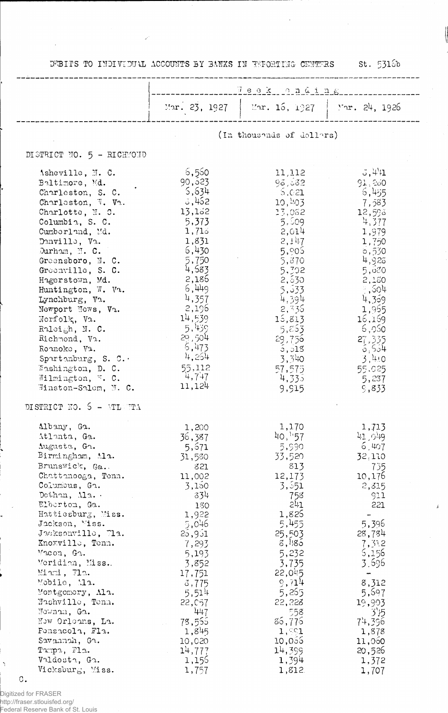DEBITS TO INDIVIDUAL ACCOUNTS BY BANKS IN REDRIING CENTERS St. 5316b

 $\hat{\mathcal{L}}$ 

 $\ddot{\phantom{a}}$ 

|                                                                                                                                                                                                                                                                                                                                                                                                                                                                                      | Feck onding                                                                                                                                                                                                                              |                                                                                                                                                                                                                                         |                                                                                                                                                                                                                                       |  |
|--------------------------------------------------------------------------------------------------------------------------------------------------------------------------------------------------------------------------------------------------------------------------------------------------------------------------------------------------------------------------------------------------------------------------------------------------------------------------------------|------------------------------------------------------------------------------------------------------------------------------------------------------------------------------------------------------------------------------------------|-----------------------------------------------------------------------------------------------------------------------------------------------------------------------------------------------------------------------------------------|---------------------------------------------------------------------------------------------------------------------------------------------------------------------------------------------------------------------------------------|--|
|                                                                                                                                                                                                                                                                                                                                                                                                                                                                                      | Mar. 23, 1927                                                                                                                                                                                                                            | Mar. 16, 1927                                                                                                                                                                                                                           | Mar. 24, 1926                                                                                                                                                                                                                         |  |
|                                                                                                                                                                                                                                                                                                                                                                                                                                                                                      | (In thousheds of dollars)                                                                                                                                                                                                                |                                                                                                                                                                                                                                         |                                                                                                                                                                                                                                       |  |
| DISTRICT NO. 5 - RICHMOND                                                                                                                                                                                                                                                                                                                                                                                                                                                            |                                                                                                                                                                                                                                          |                                                                                                                                                                                                                                         |                                                                                                                                                                                                                                       |  |
| Asheville, N. C.<br>Baltimore, Md.<br>Charleston, S. C.<br>Charleston, W. Va.<br>Charlotte, N. C.<br>Columbia, S. C.<br>Cumberland, Md.<br>Danville, Va.<br>Durham, $\mathbb{N}$ . C.<br>Greensboro, N. C.<br>Greenville, S. C.<br>Hagerstown, Md.<br>Huntington, W. Va.<br>Lynchburg, V2.<br>Newport News, Va.<br>Norfolk, Va.<br>Raleigh, N. C.<br>Richmond, Va.<br>Rounoke, Va.<br>Spurtanburg, S. C.<br>Washington, D. C.<br>Wilmington, W. C.<br>Winston-Salem, M. C.           | 6,550<br>90,523<br>5,634<br>3,452<br>13,162<br>5,373<br>1,715<br>1,831<br>6,430<br>5,750<br>4,583<br>2,186<br>6,449<br>4,357<br>2,196<br>14,539<br>5,439<br>29,504<br>5,473<br>4,254<br>55,112<br>4,747<br>11,124                        | 11,112<br>98,682<br>5,021<br>10,403<br>13,032<br>5,509<br>2,014<br>2,147<br>5,905<br>5,870<br>5,302<br>2,530<br>5,533<br>4,394<br>2,335<br>15,813<br>5,853<br>29,756<br>5,015<br>3,340<br>57,575<br>4,335<br>9,915                      | 3.441<br>91.260<br>6,455<br>7,583<br>12,593<br>4,377<br>1,979<br>1,750<br>0,530<br>4,923<br>5,000<br>2,150<br>$\frac{1}{2}$ , 504<br>4,359<br>1,955<br>16,169<br>6,050<br>27,335<br>6,554<br>3,410<br>55.025<br>5,237<br>9,833        |  |
| DISTRICT NO. $5 - M L$ TTA                                                                                                                                                                                                                                                                                                                                                                                                                                                           |                                                                                                                                                                                                                                          |                                                                                                                                                                                                                                         |                                                                                                                                                                                                                                       |  |
| Albany, Ga.<br>Atlanta, Ga.<br>Augusta, Gr.<br>Birmingham, Ala.<br>Brunswick, Ga.<br>Chattanooga, Tenn.<br>Columbus, Ga.<br>Dothan, Ma. .<br>Elberton, Ga.<br>Huttiesburg, Miss.<br>Jackson, Miss.<br>Jacksonville, 71a.<br>Knoxville, Tenn.<br>Macon, Ga.<br>Meridian, Miss.<br>Miami, Jla.<br>Mobile, Ma.<br>Montgomery, Ala.<br>Nashville, Tenn.<br>Newnam, Ga.<br>New Orleans, La.<br>Fonsacola, Fla.<br>Savannah, Ga.<br>Tumpa, Fla.<br>Valdosta, Ga.<br>Vicksburg, Miss.<br>С. | 1,200<br>36,387<br>5,671<br>31,580<br>821<br>11,002<br>3,150<br>334<br>130<br>1,922<br>5,046<br>25,951<br>7,293<br>5,193<br>3,852<br>17,751<br>3,775<br>5,514<br>22, C57<br>447<br>78,555<br>1,845<br>10,020<br>14,777<br>1,155<br>1,757 | 1,170<br>40,157<br>5,990<br>33,520<br>813<br>12,173<br>3,551<br>758<br>241<br>1,825<br>5,455<br>25,503<br>8,185<br>5,232<br>3,735<br>22,045<br>9,714<br>5,265<br>22,228<br>558<br>86,776<br>1,991<br>10,055<br>14,399<br>1,394<br>1,812 | 1,713<br>41,049<br>6,407<br>32.110<br>735<br>10,176<br>2,315<br>911<br>221<br>5,396<br>28,784<br>7,312<br>5,156<br>3.596<br>$\rightarrow$<br>8,312<br>5,697<br>19,903<br>3'5<br>74,396<br>1,878<br>11,060<br>20,526<br>1,372<br>1,707 |  |

 $\Delta$ 

Digitized for FRASER<br>http://fraser.stlouisfed.org/<br>Federal Reserve Bank of St. Louis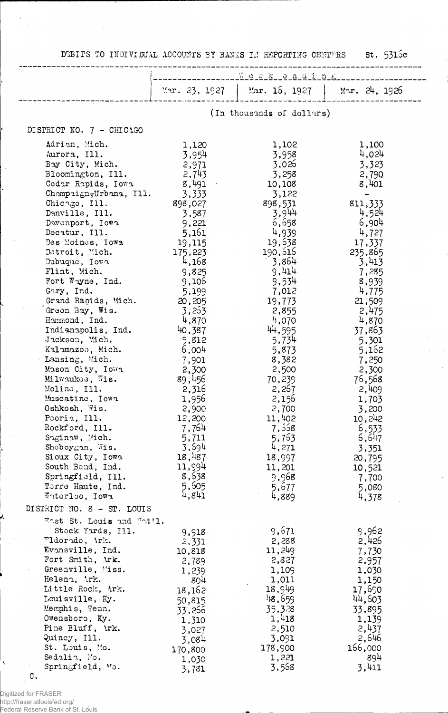DEBITS TO INDIVIDUAL ACCOUNTS BY BANKS IN REPORTING CENTFRS St. 5316c

|                                                                                                                                         | Week anding                                                   |                                                                |                                                       |  |  |
|-----------------------------------------------------------------------------------------------------------------------------------------|---------------------------------------------------------------|----------------------------------------------------------------|-------------------------------------------------------|--|--|
|                                                                                                                                         |                                                               | Mar. 23, 1927   Mar. 16, 1927   Mar. 24, 1926                  |                                                       |  |  |
|                                                                                                                                         | (In thousands of dollars)                                     |                                                                |                                                       |  |  |
| DISTRICT NO. 7 - CHICAGO                                                                                                                |                                                               |                                                                |                                                       |  |  |
| Adrian, Mich.<br>Aurora, Ill.<br>Bay City, Mich.<br>Bloomington, Ill.<br>Cedar Rapids, Iowa<br>Champaign, Urbana, Ill.<br>Chicngo, Ill. | 1,120<br>3,954<br>2,971<br>2,743<br>8,491<br>3,333<br>898,027 | 1,102<br>3,958<br>3,026<br>3,258<br>10,108<br>3,122<br>898,531 | 1,100<br>4,024<br>3,323<br>2,790<br>8,401<br>811, 333 |  |  |

| Cancago, 111.              | 898,027 | 898,531 | 811,333 |
|----------------------------|---------|---------|---------|
| Danville, Ill.             | 3,587   | 3,944   | 4,524   |
| Devenport, Iowa            | 9,221   | 6,658   | 6,904   |
| Decatur, Ill.              | 5,161   | 4,939   | 4,727   |
| Des Moines, Iowa           | 19,115  | 19,538  | 17,337  |
| Detroit, Mich.             | 175,223 | 190,515 | 235,865 |
| Dubuque, Iowa              | 4,168   | 3,864   | 3,413   |
| Flint, Mich.               | 9,825   | 9,414   | 7,285   |
| Fort Wayne, Ind.           |         |         |         |
|                            | 9,106   | 9,534   | 8,939   |
| Gary, Ind.                 | 5,199   | 7,012   | 4,775   |
| Grand Rapids, Mich.        | 20,205  | 19,773  | 21,509  |
| Green Bay, Wis.            | 3,253   | 2,855   | 2,475   |
| Hammond, Ind.              | 4,870   | 4,070   | 4,870   |
| Indianapolis, Ind.         | 40,387  | 44,595  | 37,863  |
| Jackson, Mich.             | 5,812   | 5,734   | 5,301   |
| Kalamazoo, Mich.           | 6,004   | 5,873   | 5,162   |
| Lansing, Mich.             | 7,901   | 8,382   | 7,250   |
| Mason City, Iowa           | 2,300   | 2,500   | 2,300   |
| Milwaukee, Wis.            | 89,456  | 70,239  | 76,568  |
| Moline, Ill.               | 2,316   | 2,257   | 2,409   |
|                            |         |         |         |
| Muscatine, Iowa            | 1,956   | 2,156   | 1,703   |
| Oshkosh, Wis.              | 2,900   | 2,700   | 3,200   |
| Peoria, Ill.               | 12,200  | 11,402  | 10,242  |
| Rockford, Ill.             | 7,764   | 7,558   | 6,533   |
| Saginaw, Mich.             | 5,711   | 5,763   | 6,647   |
| Sheboygan, Wis.            | 3,694   | 4,271   | 3,351   |
| Sioux City, Iowa           | 18,487  | 18,997  | 20,795  |
| South Bend, Ind.           | 11,994  | 11,201  | 10,521  |
| Springfield, Ill.          | 8,638   | 9,968   | 7,700   |
| Terre Haute, Ind.          | 5,605   | 5,677   | 5,080   |
| Waterloo, Iowa             | 4,841   | 4,889   | 4,378   |
| DISTRICT NO. 8 - ST. LOUIS |         |         |         |
|                            |         |         |         |
| East St. Louis and Wat'l.  |         |         |         |
| Stock Yards, Ill.          | 9,918   | 9,671   | 9,962   |
| "ldorado, Ark.             | 2,331   | 2,288   | 2,426   |
| Evansville, Ind.           | 10,818  | 11,249  | 7,730   |
| Fort Smith, Ark.           | 2,789   | 2,827   | 2,957   |
| Greenville, Miss.          | 1,239   | 1,109   | 1,030   |
| Helena, Ark.               | 804     | 1,011   | 1,150   |
| Little Rock, Ark.          | 18,162  | 18,949  | 17,690  |
| Louisville, Ky.            | 50,815  | 148,659 | 44,603  |
| Memphis, Tenn.             | 33,266  | 35,328  | 33,895  |
| Owensboro, Ky.             |         | 1,418   | 1,139   |
| Pine Bluff, \rk.           | 1,310   | 2,510   | 2,437   |
| Quincy, Ill.               | 3,027   |         |         |
|                            | 3,084   | 3,091   | 2,646   |
| St. Louis, Mo.             | 170,800 | 178,900 | 166,000 |
| Sedalia, Mo.               | 1,030   | 1,221   | -894    |
| Springfield, Mo.           | 3,781   | 3,568   | 3,411   |

C.

Digitized for FRASER http://fraser.stlouisfed.org/ Federal Reserve Bank of St. Louis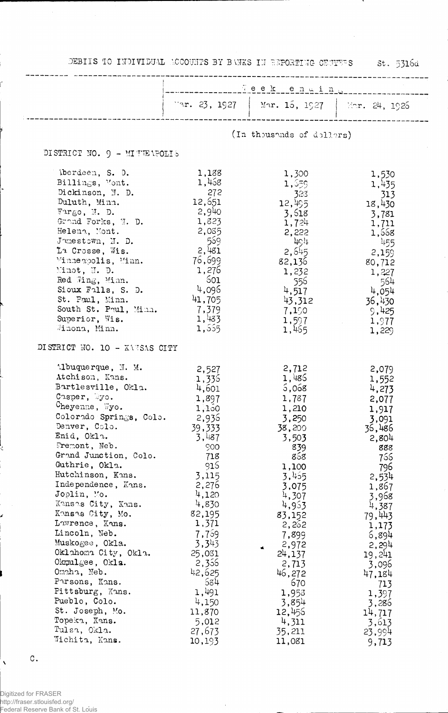DEBIIS TO INDIVIDUAL ACCOUNTS BY BANKS IN REPORTING ORITERS 551. 5316d

|                                                                                                                                                                                                                                                                                                                                                                                                                                                                                                                                                                   |                                                                                                                                                                                                                                                        | War. 23, 1927   Mar. 15, 1927   Mar. 24, 1926                                                                                                                                                                                                            |                                                                                                                                                                                                                                                        |
|-------------------------------------------------------------------------------------------------------------------------------------------------------------------------------------------------------------------------------------------------------------------------------------------------------------------------------------------------------------------------------------------------------------------------------------------------------------------------------------------------------------------------------------------------------------------|--------------------------------------------------------------------------------------------------------------------------------------------------------------------------------------------------------------------------------------------------------|----------------------------------------------------------------------------------------------------------------------------------------------------------------------------------------------------------------------------------------------------------|--------------------------------------------------------------------------------------------------------------------------------------------------------------------------------------------------------------------------------------------------------|
|                                                                                                                                                                                                                                                                                                                                                                                                                                                                                                                                                                   | (In thousands of dollars)                                                                                                                                                                                                                              |                                                                                                                                                                                                                                                          |                                                                                                                                                                                                                                                        |
| DISTRICT NO. 9 - MITELPOLIS                                                                                                                                                                                                                                                                                                                                                                                                                                                                                                                                       |                                                                                                                                                                                                                                                        |                                                                                                                                                                                                                                                          |                                                                                                                                                                                                                                                        |
| iberdeen, S. D.<br>Billings, Mont.<br>Dickinson, N. D.<br>Duluth, Minn.<br>$\text{Fargo}$ , J.D.<br>Grand Forks, W. D.<br>Helena, Mont.<br>Junestown, N. D.<br>La Crosse, Wis.<br>Minneapolis, Minn.<br>Minot, N. D.<br>Red Wing, Minn.<br>Sioux Falls, S. D.<br>St. Paul, Minn.<br>South St. Paul, Minn.<br>Superior, Wis.<br>Winona, Minn.                                                                                                                                                                                                                      | 1,138<br>1,468<br>272<br>12,651<br>2,940<br>1,823<br>2,085<br>- 559<br>2,481<br>76,699<br>1,276<br>- 601<br>4,096<br>41,705<br>7,379<br>1,433<br>1,555                                                                                                 | 1,300<br>1,559<br>323<br>12,495<br>3,618<br>1,724<br>2,222<br>4c<br>2,545<br>82,136<br>1,232<br>- 556<br>4,517<br>7,150<br>1,597<br>1,465                                                                                                                | 1,530<br>1,435<br>313<br>18,430<br>3,781<br>1,711<br>1,558<br>455<br>2,159<br>80,712<br>1,227<br>- 564<br>4,054<br>$43,312$ 36,430<br>9,425<br>1,977<br>and the company<br>1,229                                                                       |
| DISTRICT NO. 10 - XANSAS CITY                                                                                                                                                                                                                                                                                                                                                                                                                                                                                                                                     |                                                                                                                                                                                                                                                        |                                                                                                                                                                                                                                                          |                                                                                                                                                                                                                                                        |
| $M$ buquerque, $M.$ $M.$<br>Atchison, Kans.<br>Bartlesville, Okla.<br>Casper, Myo.<br>Cheyenne, Wyo.<br>Colorado Springs, Colo.<br>Denver, Colo.<br>Enid, Okla.<br>Fremont, Neb.<br>Grand Junction, Colo.<br>Guthrie, Okla.<br>Hutchinson, Kans.<br>Independence, Kans.<br>Joplin, Mo.<br>Kansas City, Kans.<br>Kansas City, Mo.<br>Lawrence, Kans.<br>Lincoln, Neb.<br>Muskogee, Okla.<br>Oklahoma City, Okla.<br>$Okm1$ gee, $Okl$ s.<br>Omaha, Neb.<br>Parsons, Kans.<br>Pittsburg, Kans.<br>Pueblo, Colo.<br>St. Joseph, Mo.<br>Topeka, Kans.<br>Tulsa, Okla. | 2,527<br>1,335<br>4,601<br>1,897<br>1,150<br>2,936<br>39,333<br>3,487<br>900<br>718<br>915<br>3,115<br>2,276<br>4,120<br>4,830<br>82,195<br>1,371<br>7,759<br>3,343<br>25,031<br>2,356<br>42,625<br>584<br>1,491<br>4,150<br>11,870<br>5,012<br>27,673 | 2,712<br>1,486<br>5,068<br>1,787<br>1,210<br>3,250<br>38,200<br>3,503<br>839<br>858<br>1,100<br>3,455<br>3,075<br>4,307<br>4,953<br>83,152<br>2,262<br>7,899<br>2,972<br>24,137<br>2,713<br>46,272<br>670<br>1,953<br>3,854<br>12,455<br>4,311<br>35,211 | 2,079<br>1,552<br>4,273<br>2,077<br>1,917<br>3,091<br>36,486<br>2,804<br>888<br>766<br>796<br>2,534<br>1,867<br>3,968<br>4,387<br>79,443<br>1,173<br>6,894<br>2,294<br>19,241<br>3,096<br>47,184<br>713<br>1,397<br>3,286<br>14,717<br>3,613<br>23,994 |

 $\bar{\beta}$ 

 $\mathbb C$  .

 $\hat{\mathbf{v}}$ 

į.

ŕ